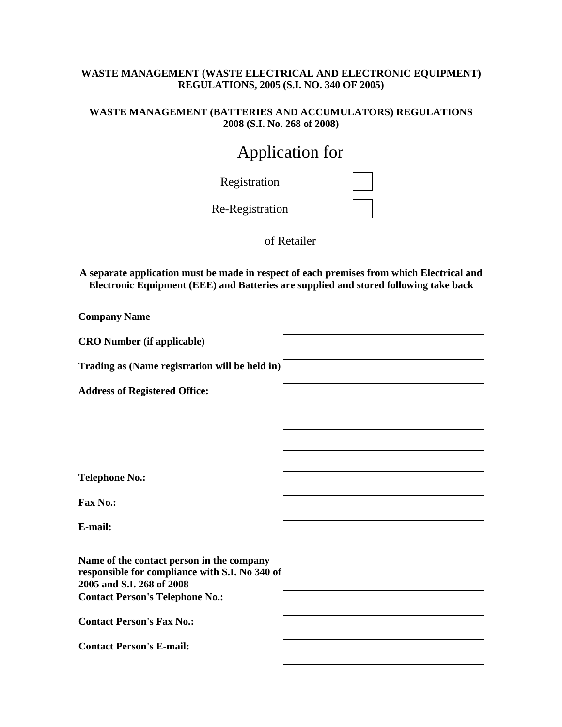### **WASTE MANAGEMENT (WASTE ELECTRICAL AND ELECTRONIC EQUIPMENT) REGULATIONS, 2005 (S.I. NO. 340 OF 2005)**

#### **WASTE MANAGEMENT (BATTERIES AND ACCUMULATORS) REGULATIONS 2008 (S.I. No. 268 of 2008)**

# Application for

| Registration    |  |
|-----------------|--|
| Re-Registration |  |

of Retailer

**A separate application must be made in respect of each premises from which Electrical and Electronic Equipment (EEE) and Batteries are supplied and stored following take back** 

| <b>Company Name</b>                                                                                                      |  |
|--------------------------------------------------------------------------------------------------------------------------|--|
| <b>CRO Number (if applicable)</b>                                                                                        |  |
| Trading as (Name registration will be held in)                                                                           |  |
| <b>Address of Registered Office:</b>                                                                                     |  |
|                                                                                                                          |  |
|                                                                                                                          |  |
| <b>Telephone No.:</b>                                                                                                    |  |
| <b>Fax No.:</b>                                                                                                          |  |
| E-mail:                                                                                                                  |  |
| Name of the contact person in the company<br>responsible for compliance with S.I. No 340 of<br>2005 and S.I. 268 of 2008 |  |
| <b>Contact Person's Telephone No.:</b>                                                                                   |  |
| <b>Contact Person's Fax No.:</b>                                                                                         |  |
| <b>Contact Person's E-mail:</b>                                                                                          |  |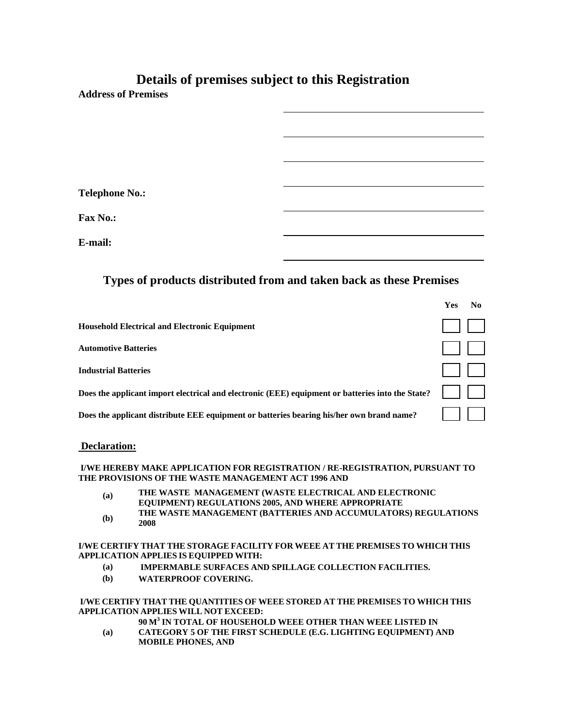## **Details of premises subject to this Registration**

**Address of Premises** 

**Telephone No.:** 

**Fax No.:** 

**E-mail:** 

### **Types of products distributed from and taken back as these Premises**

|                                                                                                  | Yes |  |
|--------------------------------------------------------------------------------------------------|-----|--|
| <b>Household Electrical and Electronic Equipment</b>                                             |     |  |
| <b>Automotive Batteries</b>                                                                      |     |  |
| <b>Industrial Batteries</b>                                                                      |     |  |
| Does the applicant import electrical and electronic (EEE) equipment or batteries into the State? |     |  |
| Does the applicant distribute EEE equipment or batteries bearing his/her own brand name?         |     |  |

#### **Declaration:**

#### **I/WE HEREBY MAKE APPLICATION FOR REGISTRATION / RE-REGISTRATION, PURSUANT TO THE PROVISIONS OF THE WASTE MANAGEMENT ACT 1996 AND**

- **(a) THE WASTE MANAGEMENT (WASTE ELECTRICAL AND ELECTRONIC EQUIPMENT) REGULATIONS 2005, AND WHERE APPROPRIATE**
- **(b) THE WASTE MANAGEMENT (BATTERIES AND ACCUMULATORS) REGULATIONS 2008**

#### **I/WE CERTIFY THAT THE STORAGE FACILITY FOR WEEE AT THE PREMISES TO WHICH THIS APPLICATION APPLIES IS EQUIPPED WITH:**

- **(a) IMPERMABLE SURFACES AND SPILLAGE COLLECTION FACILITIES.**
- **(b) WATERPROOF COVERING.**

#### **I/WE CERTIFY THAT THE QUANTITIES OF WEEE STORED AT THE PREMISES TO WHICH THIS APPLICATION APPLIES WILL NOT EXCEED:**

- **90 M3 IN TOTAL OF HOUSEHOLD WEEE OTHER THAN WEEE LISTED IN**
- **(a) CATEGORY 5 OF THE FIRST SCHEDULE (E.G. LIGHTING EQUIPMENT) AND MOBILE PHONES, AND**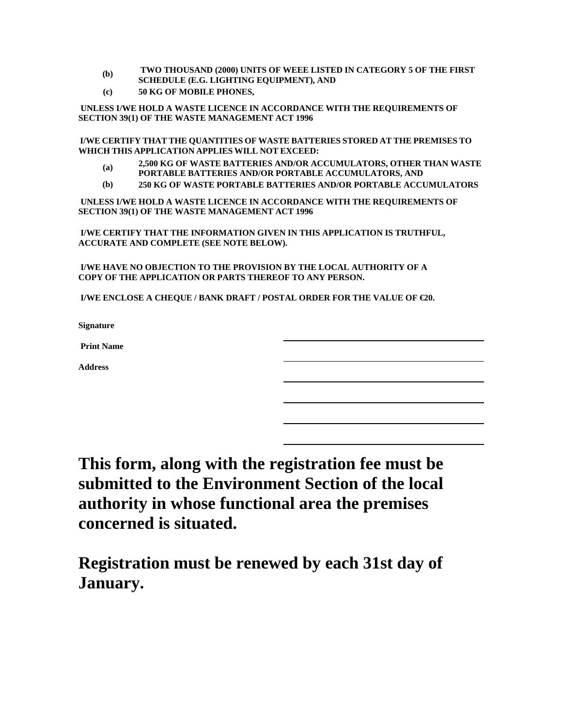- **(b) TWO THOUSAND (2000) UNITS OF WEEE LISTED IN CATEGORY 5 OF THE FIRST**
- **SCHEDULE (E.G. LIGHTING EQUIPMENT), AND**
- **(c) 50 KG OF MOBILE PHONES,**

 **UNLESS I/WE HOLD A WASTE LICENCE IN ACCORDANCE WITH THE REQUIREMENTS OF SECTION 39(1) OF THE WASTE MANAGEMENT ACT 1996** 

**I/WE CERTIFY THAT THE QUANTITIES OF WASTE BATTERIES STORED AT THE PREMISES TO WHICH THIS APPLICATION APPLIES WILL NOT EXCEED:** 

- **(a) 2,500 KG OF WASTE BATTERIES AND/OR ACCUMULATORS, OTHER THAN WASTE PORTABLE BATTERIES AND/OR PORTABLE ACCUMULATORS, AND**
- **(b) 250 KG OF WASTE PORTABLE BATTERIES AND/OR PORTABLE ACCUMULATORS**

 **UNLESS I/WE HOLD A WASTE LICENCE IN ACCORDANCE WITH THE REQUIREMENTS OF SECTION 39(1) OF THE WASTE MANAGEMENT ACT 1996** 

 **I/WE CERTIFY THAT THE INFORMATION GIVEN IN THIS APPLICATION IS TRUTHFUL, ACCURATE AND COMPLETE (SEE NOTE BELOW).** 

 **I/WE HAVE NO OBJECTION TO THE PROVISION BY THE LOCAL AUTHORITY OF A COPY OF THE APPLICATION OR PARTS THEREOF TO ANY PERSON.** 

 **I/WE ENCLOSE A CHEQUE / BANK DRAFT / POSTAL ORDER FOR THE VALUE OF €20.** 

**Signature** 

 **Print Name** 

**Address** 

**This form, along with the registration fee must be submitted to the Environment Section of the local authority in whose functional area the premises concerned is situated.** 

**Registration must be renewed by each 31st day of January.**